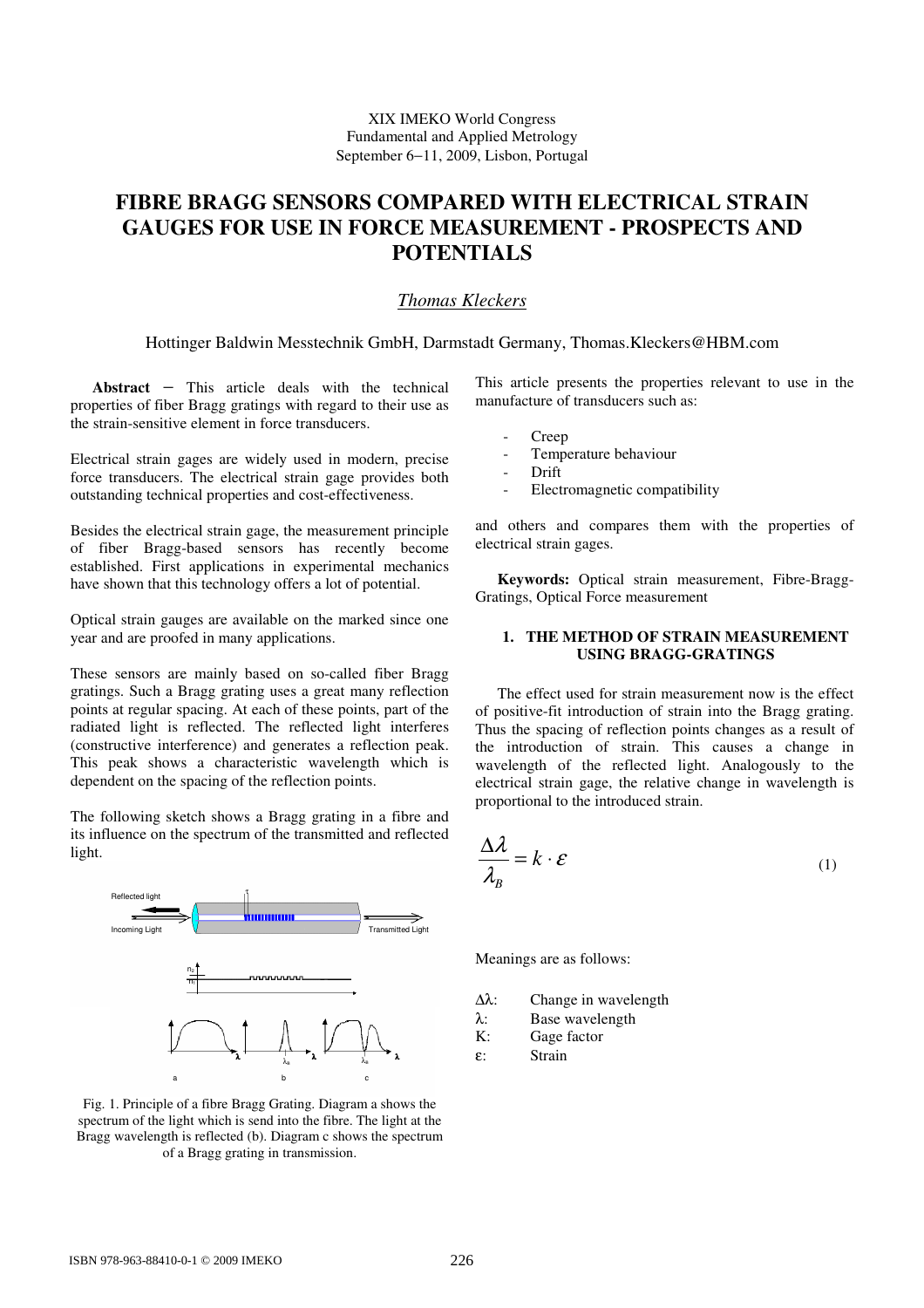XIX IMEKO World Congress Fundamental and Applied Metrology September 6−11, 2009, Lisbon, Portugal

# **FIBRE BRAGG SENSORS COMPARED WITH ELECTRICAL STRAIN GAUGES FOR USE IN FORCE MEASUREMENT - PROSPECTS AND POTENTIALS**

# *Thomas Kleckers*

Hottinger Baldwin Messtechnik GmbH, Darmstadt Germany, Thomas.Kleckers@HBM.com

**Abstract** − This article deals with the technical properties of fiber Bragg gratings with regard to their use as the strain-sensitive element in force transducers.

Electrical strain gages are widely used in modern, precise force transducers. The electrical strain gage provides both outstanding technical properties and cost-effectiveness.

Besides the electrical strain gage, the measurement principle of fiber Bragg-based sensors has recently become established. First applications in experimental mechanics have shown that this technology offers a lot of potential.

Optical strain gauges are available on the marked since one year and are proofed in many applications.

These sensors are mainly based on so-called fiber Bragg gratings. Such a Bragg grating uses a great many reflection points at regular spacing. At each of these points, part of the radiated light is reflected. The reflected light interferes (constructive interference) and generates a reflection peak. This peak shows a characteristic wavelength which is dependent on the spacing of the reflection points.

The following sketch shows a Bragg grating in a fibre and its influence on the spectrum of the transmitted and reflected light.



Fig. 1. Principle of a fibre Bragg Grating. Diagram a shows the spectrum of the light which is send into the fibre. The light at the Bragg wavelength is reflected (b). Diagram c shows the spectrum of a Bragg grating in transmission.

This article presents the properties relevant to use in the manufacture of transducers such as:

- Creep
- Temperature behaviour
- Drift
- Electromagnetic compatibility

and others and compares them with the properties of electrical strain gages.

**Keywords:** Optical strain measurement, Fibre-Bragg-Gratings, Optical Force measurement

### **1. THE METHOD OF STRAIN MEASUREMENT USING BRAGG-GRATINGS**

The effect used for strain measurement now is the effect of positive-fit introduction of strain into the Bragg grating. Thus the spacing of reflection points changes as a result of the introduction of strain. This causes a change in wavelength of the reflected light. Analogously to the electrical strain gage, the relative change in wavelength is proportional to the introduced strain.

$$
\frac{\Delta \lambda}{\lambda_B} = k \cdot \varepsilon \tag{1}
$$

Meanings are as follows:

- ∆λ: Change in wavelength
- $λ:$  Base wavelength  $K:$  Gage factor
- Gage factor
- ε: Strain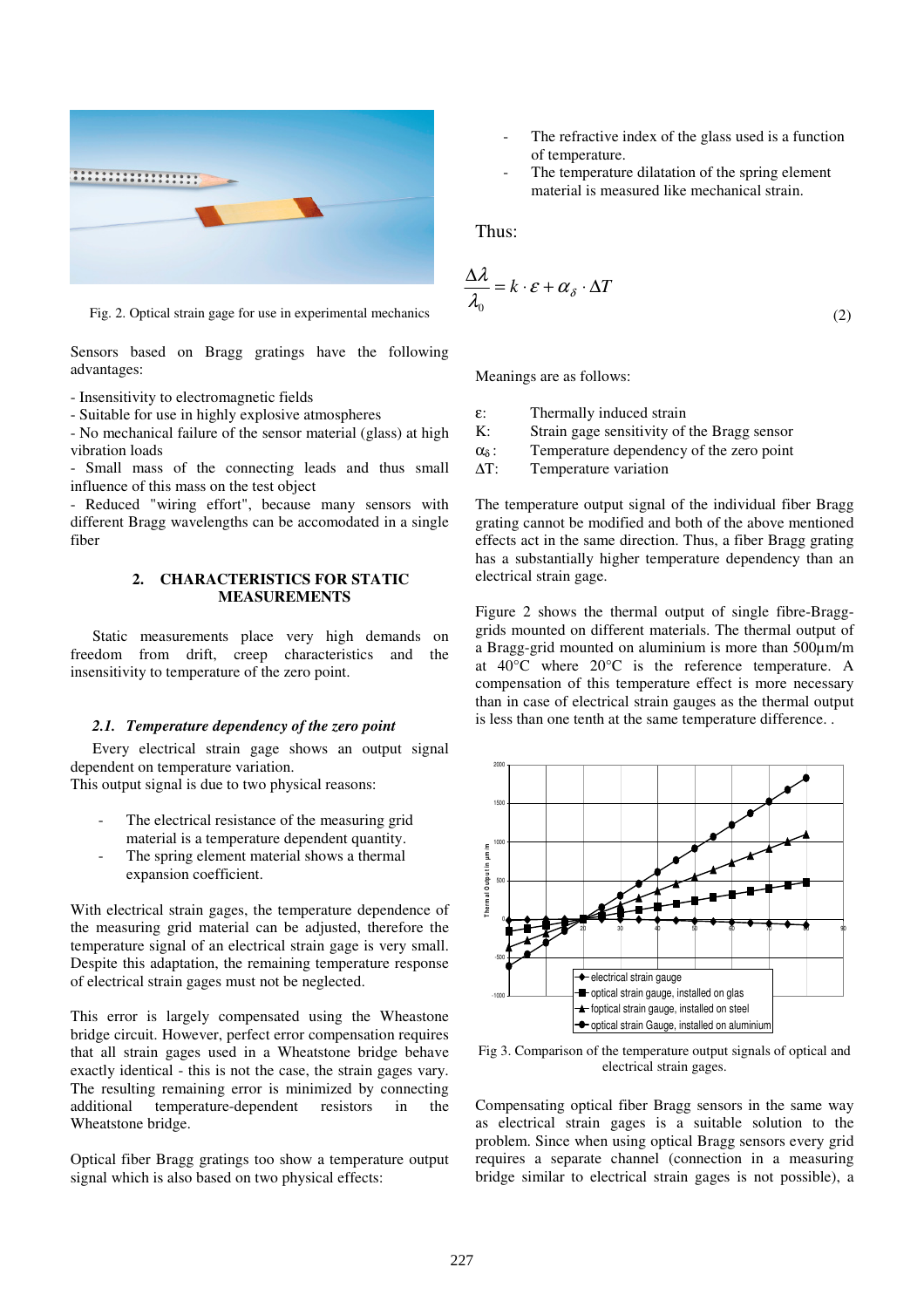

Fig. 2. Optical strain gage for use in experimental mechanics

Sensors based on Bragg gratings have the following advantages:

- Insensitivity to electromagnetic fields

- Suitable for use in highly explosive atmospheres

- No mechanical failure of the sensor material (glass) at high vibration loads

- Small mass of the connecting leads and thus small influence of this mass on the test object

- Reduced "wiring effort", because many sensors with different Bragg wavelengths can be accomodated in a single fiber

#### **2. CHARACTERISTICS FOR STATIC MEASUREMENTS**

Static measurements place very high demands on freedom from drift, creep characteristics and the insensitivity to temperature of the zero point.

#### *2.1. Temperature dependency of the zero point*

Every electrical strain gage shows an output signal dependent on temperature variation.

This output signal is due to two physical reasons:

- The electrical resistance of the measuring grid material is a temperature dependent quantity.
- The spring element material shows a thermal expansion coefficient.

With electrical strain gages, the temperature dependence of the measuring grid material can be adjusted, therefore the temperature signal of an electrical strain gage is very small. Despite this adaptation, the remaining temperature response of electrical strain gages must not be neglected.

This error is largely compensated using the Wheastone bridge circuit. However, perfect error compensation requires that all strain gages used in a Wheatstone bridge behave exactly identical - this is not the case, the strain gages vary. The resulting remaining error is minimized by connecting additional temperature-dependent resistors in the Wheatstone bridge.

Optical fiber Bragg gratings too show a temperature output signal which is also based on two physical effects:

- The refractive index of the glass used is a function of temperature.
- The temperature dilatation of the spring element material is measured like mechanical strain.

Thus:

$$
\frac{\Delta \lambda}{\lambda_0} = k \cdot \mathcal{E} + \alpha_{\delta} \cdot \Delta T \tag{2}
$$

Meanings are as follows:

- ε: Thermally induced strain
- K: Strain gage sensitivity of the Bragg sensor
- $\alpha_{\delta}$ : Temperature dependency of the zero point
- ∆T: Temperature variation

The temperature output signal of the individual fiber Bragg grating cannot be modified and both of the above mentioned effects act in the same direction. Thus, a fiber Bragg grating has a substantially higher temperature dependency than an electrical strain gage.

Figure 2 shows the thermal output of single fibre-Bragggrids mounted on different materials. The thermal output of a Bragg-grid mounted on aluminium is more than 500µm/m at 40°C where 20°C is the reference temperature. A compensation of this temperature effect is more necessary than in case of electrical strain gauges as the thermal output is less than one tenth at the same temperature difference. .



Fig 3. Comparison of the temperature output signals of optical and electrical strain gages.

Compensating optical fiber Bragg sensors in the same way as electrical strain gages is a suitable solution to the problem. Since when using optical Bragg sensors every grid requires a separate channel (connection in a measuring bridge similar to electrical strain gages is not possible), a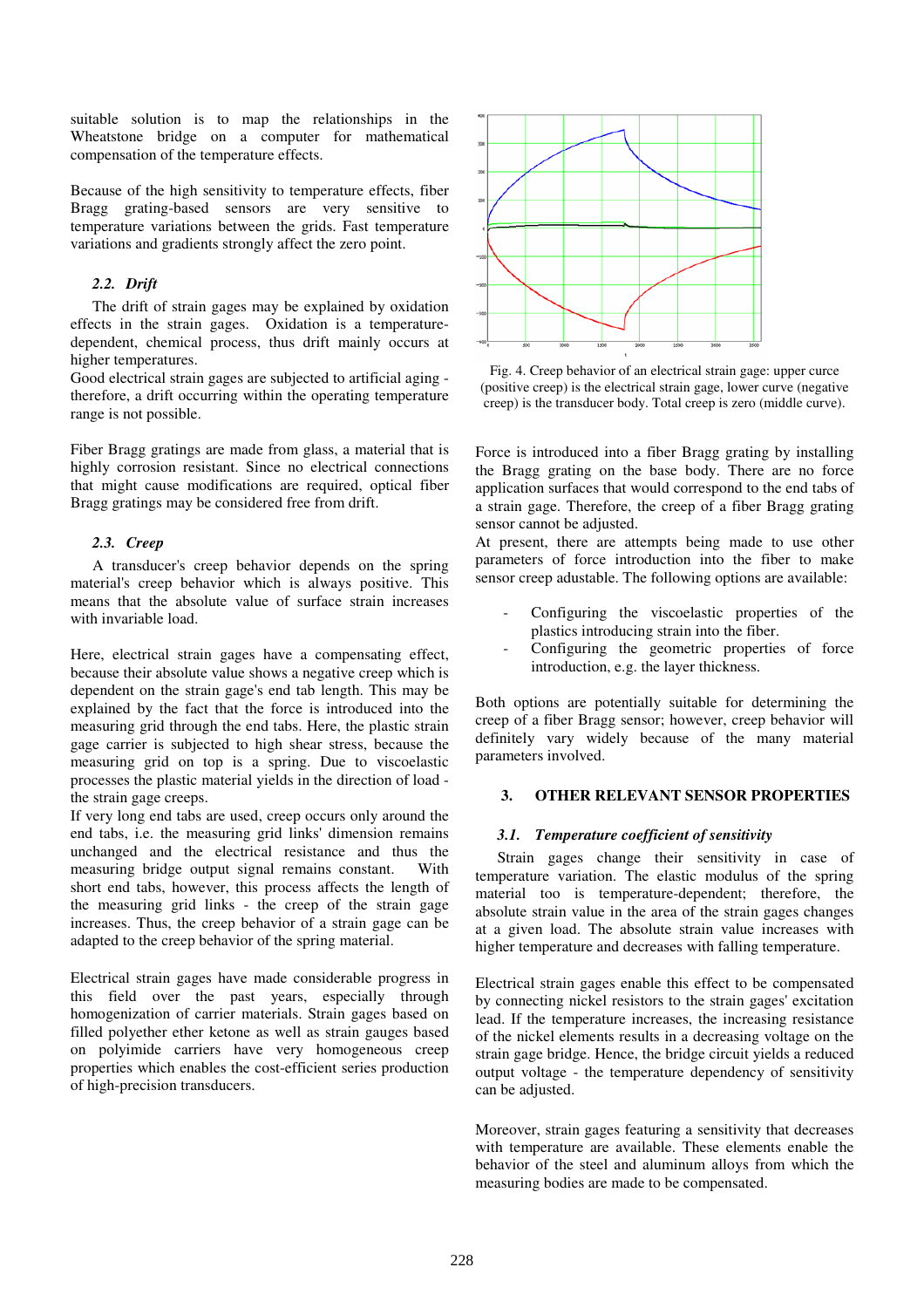suitable solution is to map the relationships in the Wheatstone bridge on a computer for mathematical compensation of the temperature effects.

Because of the high sensitivity to temperature effects, fiber Bragg grating-based sensors are very sensitive to temperature variations between the grids. Fast temperature variations and gradients strongly affect the zero point.

# *2.2. Drift*

The drift of strain gages may be explained by oxidation effects in the strain gages. Oxidation is a temperaturedependent, chemical process, thus drift mainly occurs at higher temperatures.

Good electrical strain gages are subjected to artificial aging therefore, a drift occurring within the operating temperature range is not possible.

Fiber Bragg gratings are made from glass, a material that is highly corrosion resistant. Since no electrical connections that might cause modifications are required, optical fiber Bragg gratings may be considered free from drift.

# *2.3. Creep*

A transducer's creep behavior depends on the spring material's creep behavior which is always positive. This means that the absolute value of surface strain increases with invariable load.

Here, electrical strain gages have a compensating effect, because their absolute value shows a negative creep which is dependent on the strain gage's end tab length. This may be explained by the fact that the force is introduced into the measuring grid through the end tabs. Here, the plastic strain gage carrier is subjected to high shear stress, because the measuring grid on top is a spring. Due to viscoelastic processes the plastic material yields in the direction of load the strain gage creeps.

If very long end tabs are used, creep occurs only around the end tabs, i.e. the measuring grid links' dimension remains unchanged and the electrical resistance and thus the measuring bridge output signal remains constant. With short end tabs, however, this process affects the length of the measuring grid links - the creep of the strain gage increases. Thus, the creep behavior of a strain gage can be adapted to the creep behavior of the spring material.

Electrical strain gages have made considerable progress in this field over the past years, especially through homogenization of carrier materials. Strain gages based on filled polyether ether ketone as well as strain gauges based on polyimide carriers have very homogeneous creep properties which enables the cost-efficient series production of high-precision transducers.



Fig. 4. Creep behavior of an electrical strain gage: upper curce (positive creep) is the electrical strain gage, lower curve (negative creep) is the transducer body. Total creep is zero (middle curve).

Force is introduced into a fiber Bragg grating by installing the Bragg grating on the base body. There are no force application surfaces that would correspond to the end tabs of a strain gage. Therefore, the creep of a fiber Bragg grating sensor cannot be adjusted.

At present, there are attempts being made to use other parameters of force introduction into the fiber to make sensor creep adustable. The following options are available:

- Configuring the viscoelastic properties of the plastics introducing strain into the fiber.
- Configuring the geometric properties of force introduction, e.g. the layer thickness.

Both options are potentially suitable for determining the creep of a fiber Bragg sensor; however, creep behavior will definitely vary widely because of the many material parameters involved.

# **3. OTHER RELEVANT SENSOR PROPERTIES**

## *3.1. Temperature coefficient of sensitivity*

Strain gages change their sensitivity in case of temperature variation. The elastic modulus of the spring material too is temperature-dependent; therefore, the absolute strain value in the area of the strain gages changes at a given load. The absolute strain value increases with higher temperature and decreases with falling temperature.

Electrical strain gages enable this effect to be compensated by connecting nickel resistors to the strain gages' excitation lead. If the temperature increases, the increasing resistance of the nickel elements results in a decreasing voltage on the strain gage bridge. Hence, the bridge circuit yields a reduced output voltage - the temperature dependency of sensitivity can be adjusted.

Moreover, strain gages featuring a sensitivity that decreases with temperature are available. These elements enable the behavior of the steel and aluminum alloys from which the measuring bodies are made to be compensated.